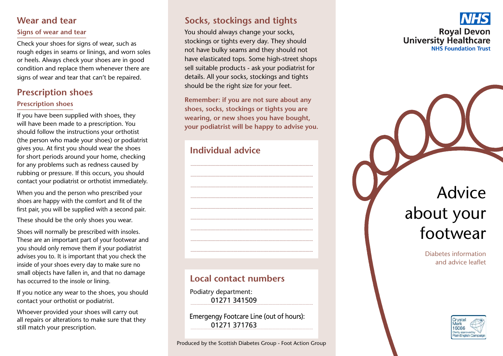# Wear and tear

### Signs of wear and tear

Check your shoes for signs of wear, such as rough edges in seams or linings, and worn soles or heels. Always check your shoes are in good condition and replace them whenever there are signs of wear and tear that can't be repaired.

# **Prescription shoes**

#### **Prescription shoes**

If you have been supplied with shoes, they will have been made to a prescription. You should follow the instructions your orthotist (the person who made your shoes) or podiatrist gives you. At first you should wear the shoes for short periods around your home, checking for any problems such as redness caused by rubbing or pressure. If this occurs, you should contact your podiatrist or orthotist immediately.

When you and the person who prescribed your shoes are happy with the comfort and fit of the first pair, you will be supplied with a second pair.

These should be the only shoes you wear.

Shoes will normally be prescribed with insoles. These are an important part of your footwear and you should only remove them if your podiatrist advises you to. It is important that you check the inside of your shoes every day to make sure no small objects have fallen in, and that no damage has occurred to the insole or lining.

If you notice any wear to the shoes, you should contact your orthotist or podiatrist.

Whoever provided your shoes will carry out all repairs or alterations to make sure that they still match your prescription.

# Socks, stockings and tights

You should always change your socks, stockings or tights every day. They should not have bulky seams and they should not have elasticated tops. Some high-street shops sell suitable products - ask your podiatrist for details. All your socks, stockings and tights should be the right size for your feet.

Remember: if you are not sure about any shoes, socks, stockings or tights you are wearing, or new shoes you have bought, your podiatrist will be happy to advise you.

# Individual advice

# Local contact numbers

Podiatry department: 01271341509

Emergengy Footcare Line (out of hours): 01271 371763



Diabetes information and advice leaflet

footwear

about your

Advice